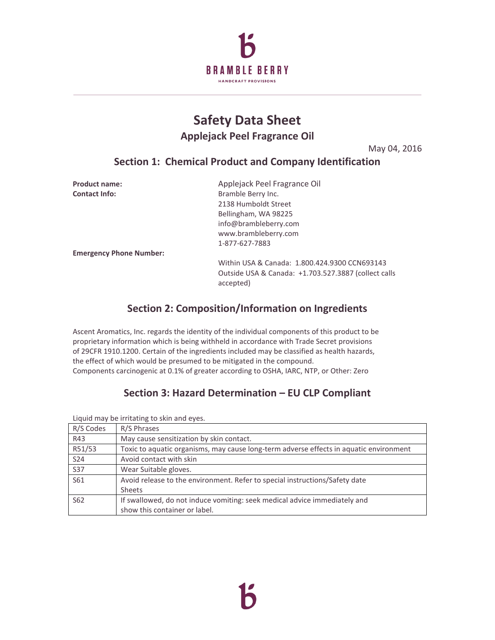

# **Safety Data Sheet Applejack Peel Fragrance Oil**

May 04, 2016

# **Section 1: Chemical Product and Company Identification**

| <b>Product name:</b>           | Applejack Peel Fragrance Oil                                      |
|--------------------------------|-------------------------------------------------------------------|
| <b>Contact Info:</b>           | Bramble Berry Inc.                                                |
|                                | 2138 Humboldt Street                                              |
|                                | Bellingham, WA 98225                                              |
|                                | info@brambleberry.com                                             |
|                                | www.brambleberry.com                                              |
|                                | 1-877-627-7883                                                    |
| <b>Emergency Phone Number:</b> |                                                                   |
|                                | Within USA & Canada: 1.800.424.9300 CCN693143                     |
|                                | Outside USA & Canada: +1.703.527.3887 (collect calls<br>accepted) |

# **Section 2: Composition/Information on Ingredients**

Ascent Aromatics, Inc. regards the identity of the individual components of this product to be proprietary information which is being withheld in accordance with Trade Secret provisions of 29CFR 1910.1200. Certain of the ingredients included may be classified as health hazards, the effect of which would be presumed to be mitigated in the compound. Components carcinogenic at 0.1% of greater according to OSHA, IARC, NTP, or Other: Zero

# **Section 3: Hazard Determination – EU CLP Compliant**

Liquid may be irritating to skin and eyes.

| R/S Codes       | R/S Phrases                                                                            |
|-----------------|----------------------------------------------------------------------------------------|
| R43             | May cause sensitization by skin contact.                                               |
| R51/53          | Toxic to aquatic organisms, may cause long-term adverse effects in aquatic environment |
| S24             | Avoid contact with skin                                                                |
| <b>S37</b>      | Wear Suitable gloves.                                                                  |
| S61             | Avoid release to the environment. Refer to special instructions/Safety date            |
|                 | <b>Sheets</b>                                                                          |
| S <sub>62</sub> | If swallowed, do not induce vomiting: seek medical advice immediately and              |
|                 | show this container or label.                                                          |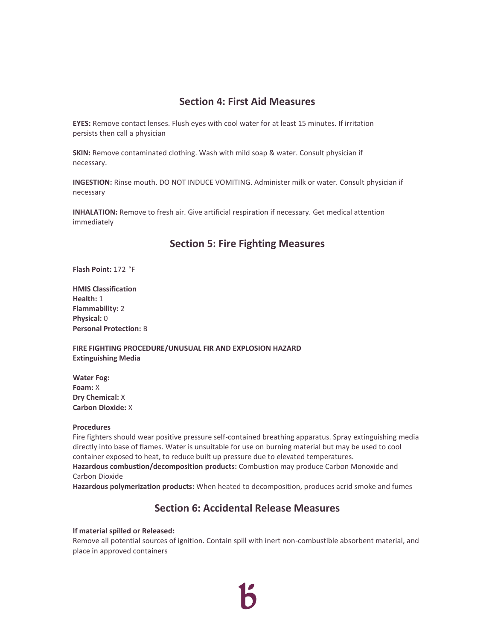#### **Section 4: First Aid Measures**

**EYES:** Remove contact lenses. Flush eyes with cool water for at least 15 minutes. If irritation persists then call a physician

**SKIN:** Remove contaminated clothing. Wash with mild soap & water. Consult physician if necessary.

**INGESTION:** Rinse mouth. DO NOT INDUCE VOMITING. Administer milk or water. Consult physician if necessary

**INHALATION:** Remove to fresh air. Give artificial respiration if necessary. Get medical attention immediately

#### **Section 5: Fire Fighting Measures**

**Flash Point:** 172 °F

**HMIS Classification Health:** 1 **Flammability:** 2 **Physical:** 0 **Personal Protection:** B

**FIRE FIGHTING PROCEDURE/UNUSUAL FIR AND EXPLOSION HAZARD Extinguishing Media**

**Water Fog: Foam:** X **Dry Chemical:** X **Carbon Dioxide:** X

#### **Procedures**

Fire fighters should wear positive pressure self-contained breathing apparatus. Spray extinguishing media directly into base of flames. Water is unsuitable for use on burning material but may be used to cool container exposed to heat, to reduce built up pressure due to elevated temperatures. **Hazardous combustion/decomposition products:** Combustion may produce Carbon Monoxide and Carbon Dioxide

**Hazardous polymerization products:** When heated to decomposition, produces acrid smoke and fumes

#### **Section 6: Accidental Release Measures**

#### **If material spilled or Released:**

Remove all potential sources of ignition. Contain spill with inert non-combustible absorbent material, and place in approved containers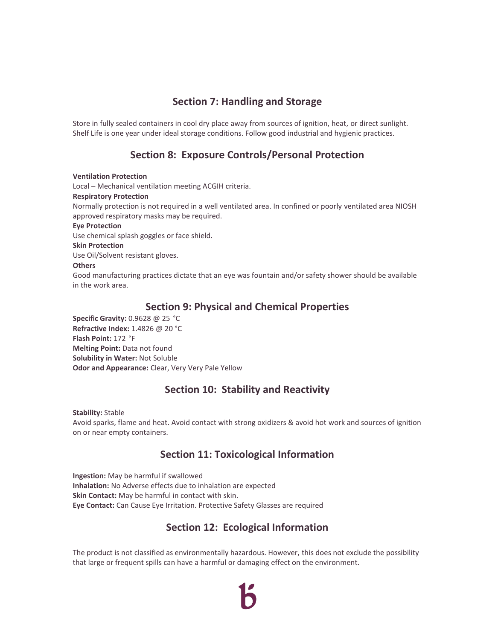# **Section 7: Handling and Storage**

Store in fully sealed containers in cool dry place away from sources of ignition, heat, or direct sunlight. Shelf Life is one year under ideal storage conditions. Follow good industrial and hygienic practices.

# **Section 8: Exposure Controls/Personal Protection**

**Ventilation Protection** Local – Mechanical ventilation meeting ACGIH criteria. **Respiratory Protection** Normally protection is not required in a well ventilated area. In confined or poorly ventilated area NIOSH approved respiratory masks may be required. **Eye Protection** Use chemical splash goggles or face shield. **Skin Protection** Use Oil/Solvent resistant gloves. **Others** Good manufacturing practices dictate that an eye was fountain and/or safety shower should be available in the work area.

#### **Section 9: Physical and Chemical Properties**

**Specific Gravity:** 0.9628 @ 25 °C **Refractive Index:** 1.4826 @ 20 °C **Flash Point:** 172 °F **Melting Point:** Data not found **Solubility in Water:** Not Soluble **Odor and Appearance:** Clear, Very Very Pale Yellow

# **Section 10: Stability and Reactivity**

**Stability:** Stable Avoid sparks, flame and heat. Avoid contact with strong oxidizers & avoid hot work and sources of ignition on or near empty containers.

# **Section 11: Toxicological Information**

**Ingestion:** May be harmful if swallowed **Inhalation:** No Adverse effects due to inhalation are expected **Skin Contact:** May be harmful in contact with skin. **Eye Contact:** Can Cause Eye Irritation. Protective Safety Glasses are required

# **Section 12: Ecological Information**

The product is not classified as environmentally hazardous. However, this does not exclude the possibility that large or frequent spills can have a harmful or damaging effect on the environment.